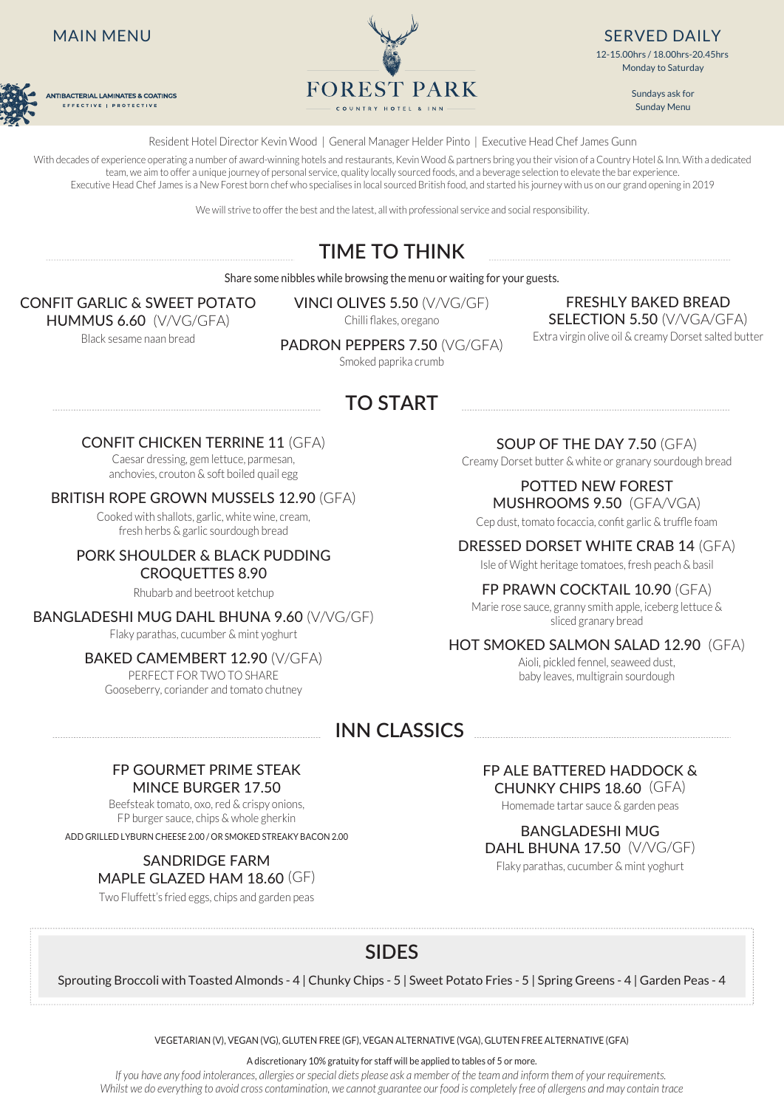# MAIN MENU



**ANTIBACTERIAL LAMINATES & COATINGS** EFFECTIVE | PROTECTIVE



SERVED DAILY 12-15.00hrs / 18.00hrs-20.45hrs Monday to Saturday

> Sundays ask for Sunday Menu

Resident Hotel Director Kevin Wood | General Manager Helder Pinto | Executive Head Chef James Gunn

With decades of experience operating a number of award-winning hotels and restaurants, Kevin Wood & partners bring you their vision of a Country Hotel & Inn. With a dedicated team, we aim to offer a unique journey of personal service, quality locally sourced foods, and a beverage selection to elevate the bar experience. Executive Head Chef James is a New Forest born chef who specialises in local sourced British food, and started his journey with us on our grand opening in 2019

We will strive to offer the best and the latest, all with professional service and social responsibility.

# **TIME TO THINK**

Share some nibbles while browsing the menu or waiting for your guests.

# CONFIT GARLIC & SWEET POTATO

HUMMUS 6.60 (V/VG/GFA) Black sesame naan bread

VINCI OLIVES 5.50 (V/VG/GF) Chilli flakes, oregano

FRESHLY BAKED BREAD SELECTION 5.50 (V/VGA/GFA) Extra virgin olive oil & creamy Dorset salted butter

PADRON PEPPERS 7.50 (VG/GFA)

Smoked paprika crumb

# **TO START**

# CONFIT CHICKEN TERRINE 11 (GFA)

Caesar dressing, gem lettuce, parmesan, anchovies, crouton & soft boiled quail egg

## BRITISH ROPE GROWN MUSSELS 12.90 (GFA)

Cooked with shallots, garlic, white wine, cream, fresh herbs & garlic sourdough bread

### PORK SHOULDER & BLACK PUDDING CROQUETTES 8.90

Rhubarb and beetroot ketchup

Flaky parathas, cucumber & mint yoghurt

## BAKED CAMEMBERT 12.90 (V/GFA)

PERFECT FOR TWO TO SHARE Gooseberry, coriander and tomato chutney

SOUP OF THE DAY 7.50 (GFA) Creamy Dorset butter & white or granary sourdough bread

POTTED NEW FOREST

MUSHROOMS 9.50 (GFA/VGA) Cep dust, tomato focaccia, confit garlic & truffle foam

DRESSED DORSET WHITE CRAB 14 (GFA)

Isle of Wight heritage tomatoes, fresh peach & basil

# FP PRAWN COCKTAIL 10.90 (GFA)

Marie rose sauce, granny smith apple, iceberg lettuce & Marie rose sauce, granny smith apple, iceberg lettuce &<br>Sliced granary bread

# HOT SMOKED SALMON SALAD 12.90 (GFA)

Aioli, pickled fennel, seaweed dust, baby leaves, multigrain sourdough

# **INN CLASSICS**

## FP GOURMET PRIME STEAK MINCE BURGER 17.50

Beefsteak tomato, oxo, red & crispy onions, FP burger sauce, chips & whole gherkin ADD GRILLED LYBURN CHEESE 2.00 / OR SMOKED STREAKY BACON 2.00 BANGLADESHI MUG

# SANDRIDGE FARM MAPLE GLAZED HAM 18.60 (GF)

Two Fluffett's fried eggs, chips and garden peas

FP ALE BATTERED HADDOCK & CHUNKY CHIPS 18.60 (GFA)

Homemade tartar sauce & garden peas

DAHL BHUNA 17.50 (V/VG/GF) Flaky parathas, cucumber & mint yoghurt

# **SIDES**

Sprouting Broccoli with Toasted Almonds - 4 | Chunky Chips - 5 | Sweet Potato Fries - 5 | Spring Greens - 4 | Garden Peas - 4

VEGETARIAN (V), VEGAN (VG), GLUTEN FREE (GF), VEGAN ALTERNATIVE (VGA), GLUTEN FREE ALTERNATIVE (GFA)

A discretionary 10% gratuity for staff will be applied to tables of 5 or more.

*If you have any food intolerances, allergies or special diets please ask a member of the team and inform them of your requirements. Whilst we do everything to avoid cross contamination, we cannot guarantee our food is completely free of allergens and may contain trace*